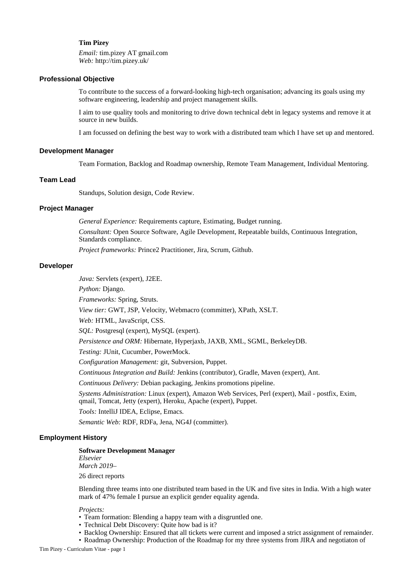## **Tim Pizey**

*Email:* tim.pizey AT gmail.com *Web:* http://tim.pizey.uk/

## **Professional Objective**

To contribute to the success of a forward-looking high-tech organisation; advancing its goals using my software engineering, leadership and project management skills.

I aim to use quality tools and monitoring to drive down technical debt in legacy systems and remove it at source in new builds.

I am focussed on defining the best way to work with a distributed team which I have set up and mentored.

## **Development Manager**

Team Formation, Backlog and Roadmap ownership, Remote Team Management, Individual Mentoring.

## **Team Lead**

Standups, Solution design, Code Review.

## **Project Manager**

*General Experience:* Requirements capture, Estimating, Budget running.

*Consultant:* Open Source Software, Agile Development, Repeatable builds, Continuous Integration, Standards compliance.

*Project frameworks:* Prince2 Practitioner, Jira, Scrum, Github.

## **Developer**

*Java:* Servlets (expert), J2EE.

*Python:* Django.

*Frameworks:* Spring, Struts.

*View tier:* GWT, JSP, Velocity, Webmacro (committer), XPath, XSLT.

*Web:* HTML, JavaScript, CSS.

*SQL:* Postgresql (expert), MySQL (expert).

*Persistence and ORM:* Hibernate, Hyperjaxb, JAXB, XML, SGML, BerkeleyDB.

*Testing:* JUnit, Cucumber, PowerMock.

*Configuration Management:* git, Subversion, Puppet.

*Continuous Integration and Build:* Jenkins (contributor), Gradle, Maven (expert), Ant.

*Continuous Delivery:* Debian packaging, Jenkins promotions pipeline.

*Systems Administration:* Linux (expert), Amazon Web Services, Perl (expert), Mail - postfix, Exim, qmail, Tomcat, Jetty (expert), Heroku, Apache (expert), Puppet.

*Tools:* IntelliJ IDEA, Eclipse, Emacs.

*Semantic Web:* RDF, RDFa, Jena, NG4J (committer).

## **Employment History**

## **Software Development Manager**

*Elsevier March 2019–*

26 direct reports

Blending three teams into one distributed team based in the UK and five sites in India. With a high water mark of 47% female I pursue an explicit gender equality agenda.

*Projects:*

- Team formation: Blending a happy team with a disgruntled one.
- Technical Debt Discovery: Quite how bad is it?
- Backlog Ownership: Ensured that all tickets were current and imposed a strict assignment of remainder.
- Roadmap Ownership: Production of the Roadmap for my three systems from JIRA and negotiaton of

Tim Pizey - Curriculum Vitae - page 1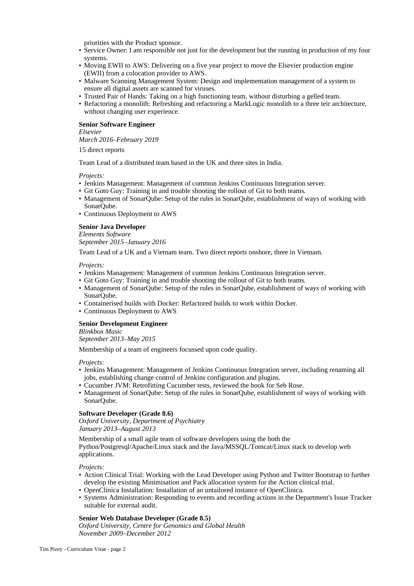priorities with the Product sponsor.

- Service Owner: I am responsible not just for the development but the running in production of my four systems.
- Moving EWII to AWS: Delivering on a five year project to move the Elsevier production engine (EWII) from a colocation provider to AWS.
- Malware Scanning Management System: Design and implementation management of a system to ensure all digital assets are scanned for viruses.
- Trusted Pair of Hands: Taking on a high functioning team, without disturbing a gelled team.
- Refactoring a monolith: Refreshing and refactoring a MarkLogic monolith to a three teir architecture, without changing user experience.

## **Senior Software Engineer**

## *Elsevier*

*March 2016–February 2019*

15 direct reports

Team Lead of a distributed team based in the UK and three sites in India.

*Projects:*

- Jenkins Management: Management of common Jenkins Continuous Integration server.
- Git Goto Guy: Training in and trouble shooting the rollout of Git to both teams.
- Management of SonarQube: Setup of the rules in SonarQube, establishment of ways of working with SonarQube.
- Continuous Deployment to AWS

# **Senior Java Developer**

*Elements Software September 2015–January 2016*

Team Lead of a UK and a Vietnam team. Two direct reports onshore, three in Vietnam.

*Projects:*

- Jenkins Management: Management of common Jenkins Continuous Integration server.
- Git Goto Guy: Training in and trouble shooting the rollout of Git to both teams.
- Management of SonarQube: Setup of the rules in SonarQube, establishment of ways of working with SonarQube.
- Containerised builds with Docker: Refactored builds to work within Docker.
- Continuous Deployment to AWS

## **Senior Development Engineer**

*Blinkbox Music*

*September 2013–May 2015*

Membership of a team of engineers focussed upon code quality.

#### *Projects:*

- Jenkins Management: Management of Jenkins Continuous Integration server, including renaming all jobs, establishing change control of Jenkins configuration and plugins.
- Cucumber JVM: Retrofitting Cucumber tests, reviewed the book for Seb Rose.
- Management of SonarOube: Setup of the rules in SonarOube, establishment of ways of working with SonarQube.

## **Software Developer (Grade 8.6)**

*Oxford University, Department of Psychiatry January 2013–August 2013*

Membership of a small agile team of software developers using the both the Python/Postgresql/Apache/Linux stack and the Java/MSSQL/Tomcat/Linux stack to develop web applications.

*Projects:*

- Action Clinical Trial: Working with the Lead Developer using Python and Twitter Bootstrap to further develop the existing Minimisation and Pack allocation system for the Action clinical trial.
- OpenClinica Installation: Installation of an untailored instance of OpenClinica.
- Systems Administration: Responding to events and recording actions in the Department's Issue Tracker suitable for external audit.

## **Senior Web Database Developer (Grade 8.5)**

*Oxford University, Centre for Genomics and Global Health November 2009–December 2012*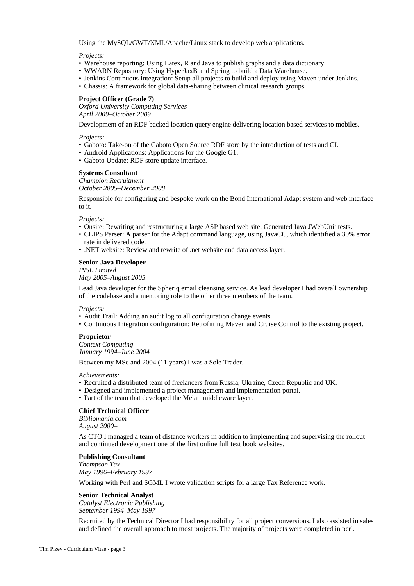Using the MySQL/GWT/XML/Apache/Linux stack to develop web applications.

#### *Projects:*

- Warehouse reporting: Using Latex, R and Java to publish graphs and a data dictionary.
- WWARN Repository: Using HyperJaxB and Spring to build a Data Warehouse.
- Jenkins Continuous Integration: Setup all projects to build and deploy using Maven under Jenkins.
- Chassis: A framework for global data-sharing between clinical research groups.

## **Project Officer (Grade 7)**

*Oxford University Computing Services April 2009–October 2009*

Development of an RDF backed location query engine delivering location based services to mobiles.

#### *Projects:*

- Gaboto: Take-on of the Gaboto Open Source RDF store by the introduction of tests and CI.
- Android Applications: Applications for the Google G1.
- Gaboto Update: RDF store update interface.

## **Systems Consultant**

*Champion Recruitment October 2005–December 2008*

Responsible for configuring and bespoke work on the Bond International Adapt system and web interface to it.

*Projects:*

- Onsite: Rewriting and restructuring a large ASP based web site. Generated Java JWebUnit tests.
- CLIPS Parser: A parser for the Adapt command language, using JavaCC, which identified a 30% error rate in delivered code.
- .NET website: Review and rewrite of .net website and data access layer.

## **Senior Java Developer**

*INSL Limited*

*May 2005–August 2005*

Lead Java developer for the Spheriq email cleansing service. As lead developer I had overall ownership of the codebase and a mentoring role to the other three members of the team.

*Projects:*

- Audit Trail: Adding an audit log to all configuration change events.
- Continuous Integration configuration: Retrofitting Maven and Cruise Control to the existing project.

## **Proprietor**

*Context Computing January 1994–June 2004*

Between my MSc and 2004 (11 years) I was a Sole Trader.

*Achievements:*

- Recruited a distributed team of freelancers from Russia, Ukraine, Czech Republic and UK.
- Designed and implemented a project management and implementation portal.
- Part of the team that developed the Melati middleware layer.

# **Chief Technical Officer**

*Bibliomania.com August 2000–*

As CTO I managed a team of distance workers in addition to implementing and supervising the rollout and continued development one of the first online full text book websites.

## **Publishing Consultant**

*Thompson Tax May 1996–February 1997* Working with Perl and SGML I wrote validation scripts for a large Tax Reference work.

## **Senior Technical Analyst**

*Catalyst Electronic Publishing September 1994–May 1997*

Recruited by the Technical Director I had responsibility for all project conversions. I also assisted in sales and defined the overall approach to most projects. The majority of projects were completed in perl.